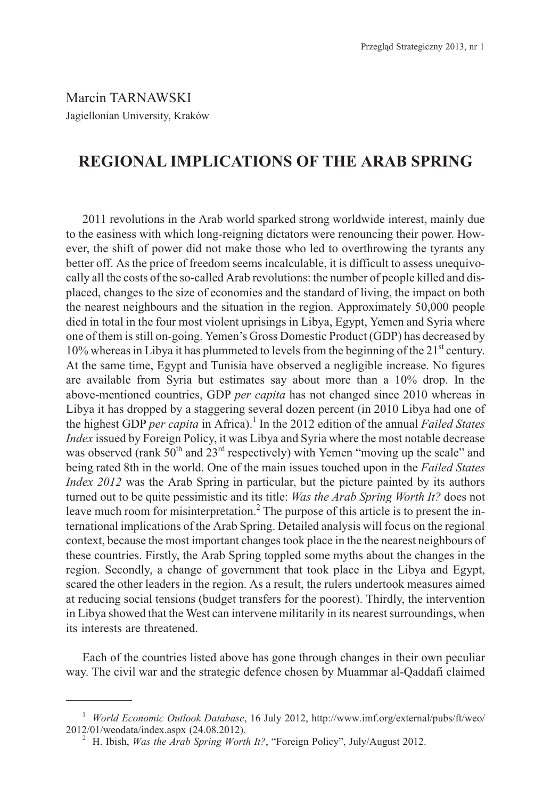Marcin TARNAWSKI Jagiellonian University, Kraków

# **REGIONAL IMPLICATIONS OF THE ARAB SPRING**

2011 revolutions in the Arab world sparked strong worldwide interest, mainly due to the easiness with which long-reigning dictators were renouncing their power. However, the shift of power did not make those who led to overthrowing the tyrants any better off. As the price of freedom seems incalculable, it is difficult to assess unequivocally all the costs of the so-called Arab revolutions: the number of people killed and displaced, changes to the size of economies and the standard of living, the impact on both the nearest neighbours and the situation in the region. Approximately 50,000 people died in total in the four most violent uprisings in Libya, Egypt, Yemen and Syria where one of them is still on-going. Yemen's Gross Domestic Product (GDP) has decreased by  $10\%$  whereas in Libya it has plummeted to levels from the beginning of the 21<sup>st</sup> century. At the same time, Egypt and Tunisia have observed a negligible increase. No figures are available from Syria but estimates say about more than a 10% drop. In the above-mentioned countries, GDP *per capita* has not changed since 2010 whereas in Libya it has dropped by a staggering several dozen percent (in 2010 Libya had one of the highest GDP *per capita* in Africa).<sup>1</sup> In the 2012 edition of the annual *Failed States Index* issued by Foreign Policy, it was Libya and Syria where the most notable decrease was observed (rank  $50<sup>th</sup>$  and  $23<sup>rd</sup>$  respectively) with Yemen "moving up the scale" and being rated 8th in the world. One of the main issues touched upon in the *Failed States Index 2012* was the Arab Spring in particular, but the picture painted by its authors turned out to be quite pessimistic and its title: *Was the Arab Spring Worth It?* does not leave much room for misinterpretation.<sup>2</sup> The purpose of this article is to present the international implications of the Arab Spring. Detailed analysis will focus on the regional context, because the most important changes took place in the the nearest neighbours of these countries. Firstly, the Arab Spring toppled some myths about the changes in the region. Secondly, a change of government that took place in the Libya and Egypt, scared the other leaders in the region. As a result, the rulers undertook measures aimed at reducing social tensions (budget transfers for the poorest). Thirdly, the intervention in Libya showed that the West can intervene militarily in its nearest surroundings, when its interests are threatened.

Each of the countries listed above has gone through changes in their own peculiar way. The civil war and the strategic defence chosen by Muammar al-Qaddafi claimed

<sup>1</sup> *World Economic Outlook Database*, 16 July 2012, http://www.imf.org/external/pubs/ft/weo/

<sup>&</sup>lt;sup>2</sup> H. Ibish, *Was the Arab Spring Worth It?*, "Foreign Policy", July/August 2012.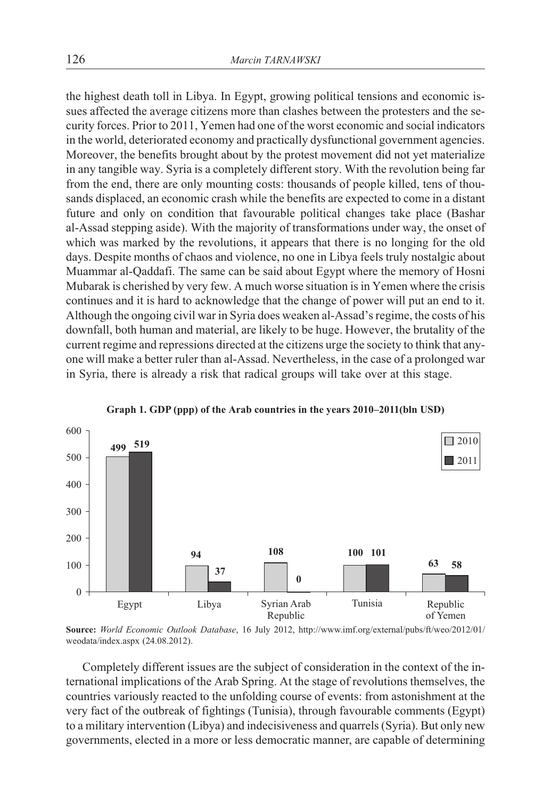the highest death toll in Libya. In Egypt, growing political tensions and economic issues affected the average citizens more than clashes between the protesters and the security forces. Prior to 2011, Yemen had one of the worst economic and social indicators in the world, deteriorated economy and practically dysfunctional government agencies. Moreover, the benefits brought about by the protest movement did not yet materialize in any tangible way. Syria is a completely different story. With the revolution being far from the end, there are only mounting costs: thousands of people killed, tens of thousands displaced, an economic crash while the benefits are expected to come in a distant future and only on condition that favourable political changes take place (Bashar al-Assad stepping aside). With the majority of transformations under way, the onset of which was marked by the revolutions, it appears that there is no longing for the old days. Despite months of chaos and violence, no one in Libya feels truly nostalgic about Muammar al-Qaddafi. The same can be said about Egypt where the memory of Hosni Mubarak is cherished by very few. A much worse situation is in Yemen where the crisis continues and it is hard to acknowledge that the change of power will put an end to it. Although the ongoing civil war in Syria does weaken al-Assad's regime, the costs of his downfall, both human and material, are likely to be huge. However, the brutality of the current regime and repressions directed at the citizens urge the society to think that anyone will make a better ruler than al-Assad. Nevertheless, in the case of a prolonged war in Syria, there is already a risk that radical groups will take over at this stage.



**Graph 1. GDP (ppp) of the Arab countries in the years 2010–2011(bln USD)**

**Source:** *World Economic Outlook Database*, 16 July 2012, http://www.imf.org/external/pubs/ft/weo/2012/01/ weodata/index.aspx (24.08.2012).

Completely different issues are the subject of consideration in the context of the international implications of the Arab Spring. At the stage of revolutions themselves, the countries variously reacted to the unfolding course of events: from astonishment at the very fact of the outbreak of fightings (Tunisia), through favourable comments (Egypt) to a military intervention (Libya) and indecisiveness and quarrels (Syria). But only new governments, elected in a more or less democratic manner, are capable of determining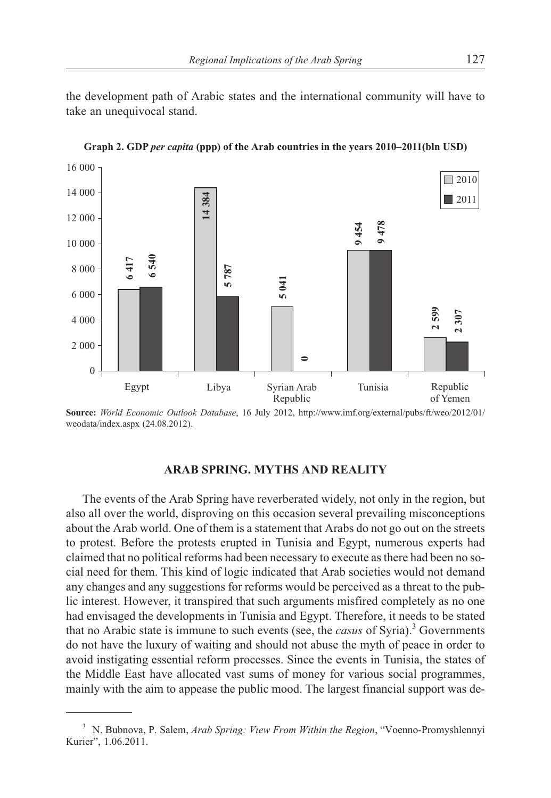the development path of Arabic states and the international community will have to take an unequivocal stand.



**Graph 2. GDP** *per capita* **(ppp) of the Arab countries in the years 2010–2011(bln USD)**

**Source:** *World Economic Outlook Database*, 16 July 2012, http://www.imf.org/external/pubs/ft/weo/2012/01/ weodata/index.aspx (24.08.2012).

## **ARAB SPRING. MYTHS AND REALITY**

The events of the Arab Spring have reverberated widely, not only in the region, but also all over the world, disproving on this occasion several prevailing misconceptions about the Arab world. One of them is a statement that Arabs do not go out on the streets to protest. Before the protests erupted in Tunisia and Egypt, numerous experts had claimed that no political reforms had been necessary to execute as there had been no social need for them. This kind of logic indicated that Arab societies would not demand any changes and any suggestions for reforms would be perceived as a threat to the public interest. However, it transpired that such arguments misfired completely as no one had envisaged the developments in Tunisia and Egypt. Therefore, it needs to be stated that no Arabic state is immune to such events (see, the *casus* of Syria).<sup>3</sup> Governments do not have the luxury of waiting and should not abuse the myth of peace in order to avoid instigating essential reform processes. Since the events in Tunisia, the states of the Middle East have allocated vast sums of money for various social programmes, mainly with the aim to appease the public mood. The largest financial support was de-

<sup>3</sup> N. Bubnova, P. Salem, *Arab Spring: View From Within the Region*, "Voenno-Promyshlennyi Kurier", 1.06.2011.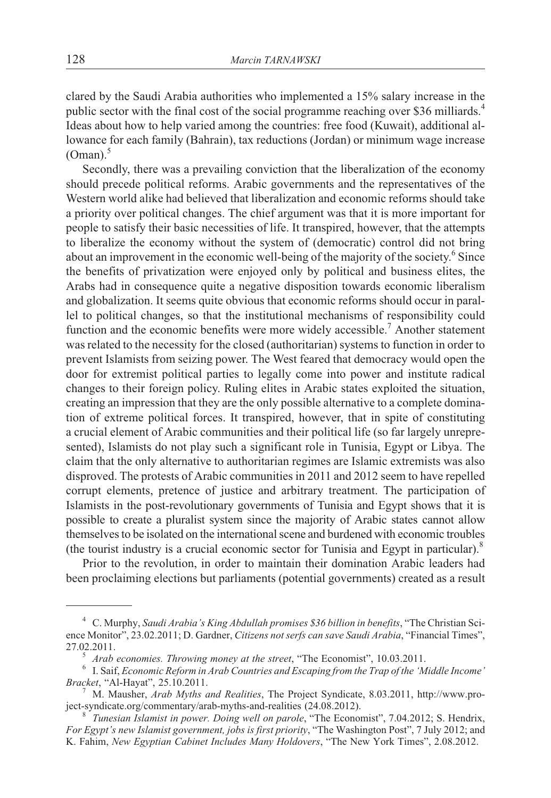clared by the Saudi Arabia authorities who implemented a 15% salary increase in the public sector with the final cost of the social programme reaching over \$36 milliards.<sup>4</sup> Ideas about how to help varied among the countries: free food (Kuwait), additional allowance for each family (Bahrain), tax reductions (Jordan) or minimum wage increase  $(Oman).$ <sup>5</sup>

Secondly, there was a prevailing conviction that the liberalization of the economy should precede political reforms. Arabic governments and the representatives of the Western world alike had believed that liberalization and economic reforms should take a priority over political changes. The chief argument was that it is more important for people to satisfy their basic necessities of life. It transpired, however, that the attempts to liberalize the economy without the system of (democratic) control did not bring about an improvement in the economic well-being of the majority of the society.<sup>6</sup> Since the benefits of privatization were enjoyed only by political and business elites, the Arabs had in consequence quite a negative disposition towards economic liberalism and globalization. It seems quite obvious that economic reforms should occur in parallel to political changes, so that the institutional mechanisms of responsibility could function and the economic benefits were more widely accessible.<sup>7</sup> Another statement was related to the necessity for the closed (authoritarian) systems to function in order to prevent Islamists from seizing power. The West feared that democracy would open the door for extremist political parties to legally come into power and institute radical changes to their foreign policy. Ruling elites in Arabic states exploited the situation, creating an impression that they are the only possible alternative to a complete domination of extreme political forces. It transpired, however, that in spite of constituting a crucial element of Arabic communities and their political life (so far largely unrepresented), Islamists do not play such a significant role in Tunisia, Egypt or Libya. The claim that the only alternative to authoritarian regimes are Islamic extremists was also disproved. The protests of Arabic communities in 2011 and 2012 seem to have repelled corrupt elements, pretence of justice and arbitrary treatment. The participation of Islamists in the post-revolutionary governments of Tunisia and Egypt shows that it is possible to create a pluralist system since the majority of Arabic states cannot allow themselves to be isolated on the international scene and burdened with economic troubles (the tourist industry is a crucial economic sector for Tunisia and Egypt in particular). $8$ 

Prior to the revolution, in order to maintain their domination Arabic leaders had been proclaiming elections but parliaments (potential governments) created as a result

<sup>4</sup> C. Murphy, *Saudi Arabia's King Abdullah promises \$36 billion in benefits*, "The Christian Science Monitor", 23.02.2011; D. Gardner, *Citizens not serfs can save Saudi Arabia*, "Financial Times",

<sup>27.02.2011.&</sup>lt;br><sup>5</sup> *Arab economies. Throwing money at the street*, "The Economist", 10.03.2011.<br><sup>6</sup> I. Saif, *Economic Reform in Arab Countries and Escaping from the Trap of the 'Middle Income'*<br>*Bracket*, "Al-Hayat", 25.10.2

<sup>&</sup>lt;sup>7</sup> M. Mausher, *Arab Myths and Realities*, The Project Syndicate, 8.03.2011, http://www.project-syndicate.org/commentary/arab-myths-and-realities (24.08.2012). <sup>8</sup> *Tunesian Islamist in power. Doing well on parole*, "The Economist", 7.04.2012; S. Hendrix,

*For Egypt's new Islamist government, jobs is first priority*, "The Washington Post", 7 July 2012; and K. Fahim, *New Egyptian Cabinet Includes Many Holdovers*, "The New York Times", 2.08.2012.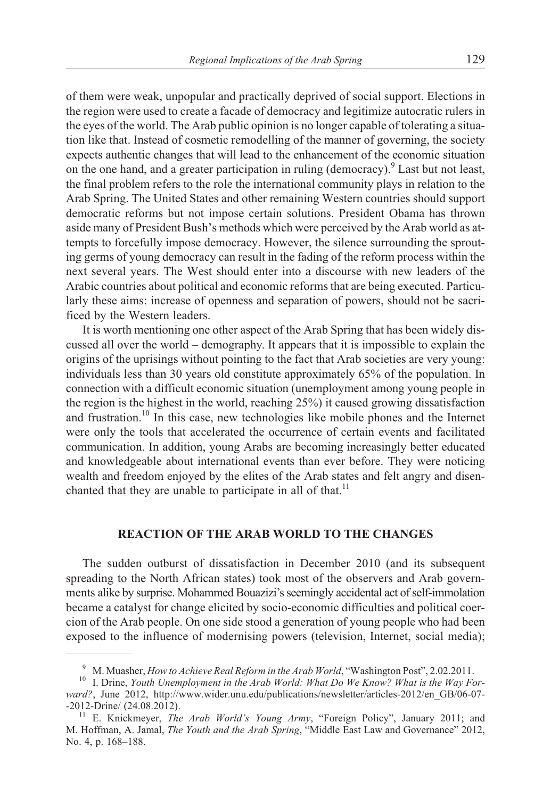of them were weak, unpopular and practically deprived of social support. Elections in the region were used to create a facade of democracy and legitimize autocratic rulers in the eyes of the world. The Arab public opinion is no longer capable of tolerating a situation like that. Instead of cosmetic remodelling of the manner of governing, the society expects authentic changes that will lead to the enhancement of the economic situation on the one hand, and a greater participation in ruling (democracy). <sup>9</sup> Last but not least, the final problem refers to the role the international community plays in relation to the Arab Spring. The United States and other remaining Western countries should support democratic reforms but not impose certain solutions. President Obama has thrown aside many of President Bush's methods which were perceived by the Arab world as attempts to forcefully impose democracy. However, the silence surrounding the sprouting germs of young democracy can result in the fading of the reform process within the next several years. The West should enter into a discourse with new leaders of the Arabic countries about political and economic reforms that are being executed. Particularly these aims: increase of openness and separation of powers, should not be sacrificed by the Western leaders.

It is worth mentioning one other aspect of the Arab Spring that has been widely discussed all over the world – demography. It appears that it is impossible to explain the origins of the uprisings without pointing to the fact that Arab societies are very young: individuals less than 30 years old constitute approximately 65% of the population. In connection with a difficult economic situation (unemployment among young people in the region is the highest in the world, reaching 25%) it caused growing dissatisfaction and frustration.<sup>10</sup> In this case, new technologies like mobile phones and the Internet were only the tools that accelerated the occurrence of certain events and facilitated communication. In addition, young Arabs are becoming increasingly better educated and knowledgeable about international events than ever before. They were noticing wealth and freedom enjoyed by the elites of the Arab states and felt angry and disenchanted that they are unable to participate in all of that.<sup>11</sup>

### **REACTION OF THE ARAB WORLD TO THE CHANGES**

The sudden outburst of dissatisfaction in December 2010 (and its subsequent spreading to the North African states) took most of the observers and Arab governments alike by surprise. Mohammed Bouazizi's seemingly accidental act of self-immolation became a catalyst for change elicited by socio-economic difficulties and political coercion of the Arab people. On one side stood a generation of young people who had been exposed to the influence of modernising powers (television, Internet, social media);

<sup>&</sup>lt;sup>9</sup> M. Muasher, *How to Achieve Real Reform in the Arab World*, "Washington Post", 2.02.2011.<br><sup>10</sup> I. Drine, *Youth Unemployment in the Arab World: What Do We Know? What is the Way Forward?*, June 2012, http://www.wider.unu.edu/publications/newsletter/articles-2012/en\_GB/06-07-

<sup>-2012-</sup>Drine/ (24.08.2012). <sup>11</sup> E. Knickmeyer, *The Arab World's Young Army*, "Foreign Policy", January 2011; and M. Hoffman, A. Jamal, *The Youth and the Arab Spring*, "Middle East Law and Governance" 2012, No. 4, p. 168–188.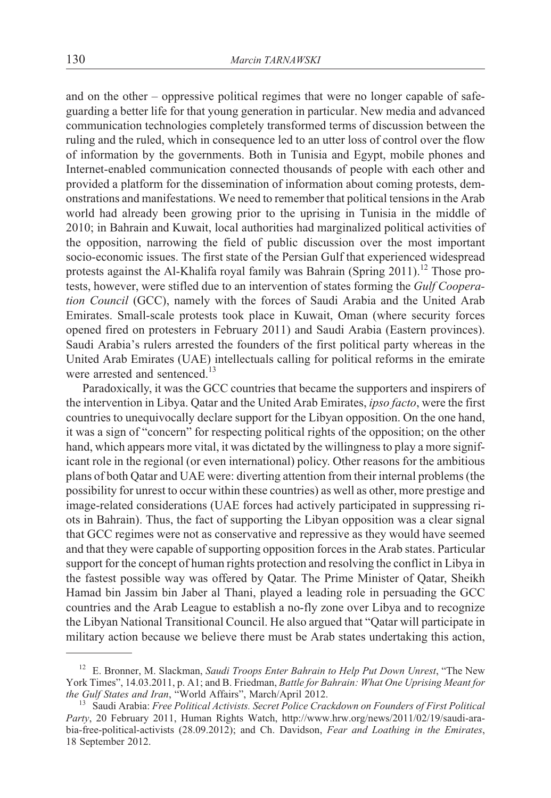and on the other – oppressive political regimes that were no longer capable of safeguarding a better life for that young generation in particular. New media and advanced communication technologies completely transformed terms of discussion between the ruling and the ruled, which in consequence led to an utter loss of control over the flow of information by the governments. Both in Tunisia and Egypt, mobile phones and Internet-enabled communication connected thousands of people with each other and provided a platform for the dissemination of information about coming protests, demonstrations and manifestations. We need to remember that political tensions in the Arab world had already been growing prior to the uprising in Tunisia in the middle of 2010; in Bahrain and Kuwait, local authorities had marginalized political activities of the opposition, narrowing the field of public discussion over the most important socio-economic issues. The first state of the Persian Gulf that experienced widespread protests against the Al-Khalifa royal family was Bahrain (Spring 2011).<sup>12</sup> Those protests, however, were stifled due to an intervention of states forming the *Gulf Cooperation Council* (GCC), namely with the forces of Saudi Arabia and the United Arab Emirates. Small-scale protests took place in Kuwait, Oman (where security forces opened fired on protesters in February 2011) and Saudi Arabia (Eastern provinces). Saudi Arabia's rulers arrested the founders of the first political party whereas in the United Arab Emirates (UAE) intellectuals calling for political reforms in the emirate were arrested and sentenced.<sup>13</sup>

Paradoxically, it was the GCC countries that became the supporters and inspirers of the intervention in Libya. Qatar and the United Arab Emirates, *ipso facto*, were the first countries to unequivocally declare support for the Libyan opposition. On the one hand, it was a sign of "concern" for respecting political rights of the opposition; on the other hand, which appears more vital, it was dictated by the willingness to play a more significant role in the regional (or even international) policy. Other reasons for the ambitious plans of both Qatar and UAE were: diverting attention from their internal problems (the possibility for unrest to occur within these countries) as well as other, more prestige and image-related considerations (UAE forces had actively participated in suppressing riots in Bahrain). Thus, the fact of supporting the Libyan opposition was a clear signal that GCC regimes were not as conservative and repressive as they would have seemed and that they were capable of supporting opposition forces in the Arab states. Particular support for the concept of human rights protection and resolving the conflict in Libya in the fastest possible way was offered by Qatar. The Prime Minister of Qatar, Sheikh Hamad bin Jassim bin Jaber al Thani, played a leading role in persuading the GCC countries and the Arab League to establish a no-fly zone over Libya and to recognize the Libyan National Transitional Council. He also argued that "Qatar will participate in military action because we believe there must be Arab states undertaking this action,

<sup>&</sup>lt;sup>12</sup> E. Bronner, M. Slackman, *Saudi Troops Enter Bahrain to Help Put Down Unrest*, "The New York Times", 14.03.2011, p. A1; and B. Friedman, *Battle for Bahrain: What One Uprising Meant for the Gulf States and Iran*, "World Affairs", March/April 2012.

<sup>&</sup>lt;sup>13</sup> Saudi Arabia: *Free Political Activists. Secret Police Crackdown on Founders of First Political Party*, 20 February 2011, Human Rights Watch, http://www.hrw.org/news/2011/02/19/saudi-arabia-free-political-activists (28.09.2012); and Ch. Davidson, *Fear and Loathing in the Emirates*, 18 September 2012.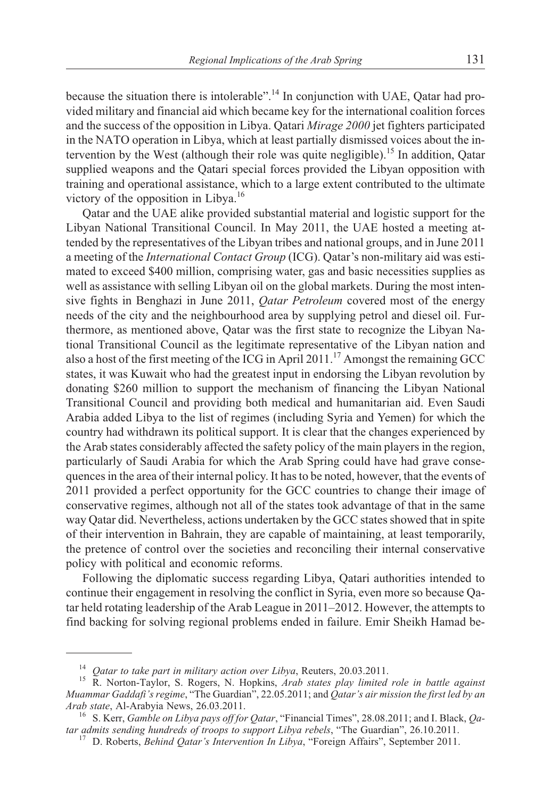because the situation there is intolerable".<sup>14</sup> In conjunction with UAE, Qatar had provided military and financial aid which became key for the international coalition forces and the success of the opposition in Libya. Qatari *Mirage 2000* jet fighters participated in the NATO operation in Libya, which at least partially dismissed voices about the intervention by the West (although their role was quite negligible).<sup>15</sup> In addition, Oatar supplied weapons and the Qatari special forces provided the Libyan opposition with training and operational assistance, which to a large extent contributed to the ultimate victory of the opposition in Libya.<sup>16</sup>

Qatar and the UAE alike provided substantial material and logistic support for the Libyan National Transitional Council. In May 2011, the UAE hosted a meeting attended by the representatives of the Libyan tribes and national groups, and in June 2011 a meeting of the *International Contact Group* (ICG). Qatar's non-military aid was estimated to exceed \$400 million, comprising water, gas and basic necessities supplies as well as assistance with selling Libyan oil on the global markets. During the most intensive fights in Benghazi in June 2011, *Qatar Petroleum* covered most of the energy needs of the city and the neighbourhood area by supplying petrol and diesel oil. Furthermore, as mentioned above, Qatar was the first state to recognize the Libyan National Transitional Council as the legitimate representative of the Libyan nation and also a host of the first meeting of the ICG in April 2011.<sup>17</sup> Amongst the remaining GCC states, it was Kuwait who had the greatest input in endorsing the Libyan revolution by donating \$260 million to support the mechanism of financing the Libyan National Transitional Council and providing both medical and humanitarian aid. Even Saudi Arabia added Libya to the list of regimes (including Syria and Yemen) for which the country had withdrawn its political support. It is clear that the changes experienced by the Arab states considerably affected the safety policy of the main players in the region, particularly of Saudi Arabia for which the Arab Spring could have had grave consequences in the area of their internal policy. It has to be noted, however, that the events of 2011 provided a perfect opportunity for the GCC countries to change their image of conservative regimes, although not all of the states took advantage of that in the same way Qatar did. Nevertheless, actions undertaken by the GCC states showed that in spite of their intervention in Bahrain, they are capable of maintaining, at least temporarily, the pretence of control over the societies and reconciling their internal conservative policy with political and economic reforms.

Following the diplomatic success regarding Libya, Qatari authorities intended to continue their engagement in resolving the conflict in Syria, even more so because Qatar held rotating leadership of the Arab League in 2011–2012. However, the attempts to find backing for solving regional problems ended in failure. Emir Sheikh Hamad be-

<sup>14</sup> *Qatar to take part in military action over Libya*, Reuters, 20.03.2011. <sup>15</sup> R. Norton-Taylor, S. Rogers, N. Hopkins, *Arab states play limited role in battle against Muammar Gaddafi's regime*, "The Guardian", 22.05.2011; and *Qatar's air mission the first led by an*

*Arab state*, Al-Arabyia News, 26.03.2011.<br><sup>16</sup> S. Kerr, *Gamble on Libya pays off for Qatar*, "Financial Times", 28.08.2011; and I. Black, *Qatar admits sending hundreds of troops to support Libya rebels*, "The Guardian",

<sup>&</sup>lt;sup>17</sup> D. Roberts, *Behind Qatar's Intervention In Libya*, "Foreign Affairs", September 2011.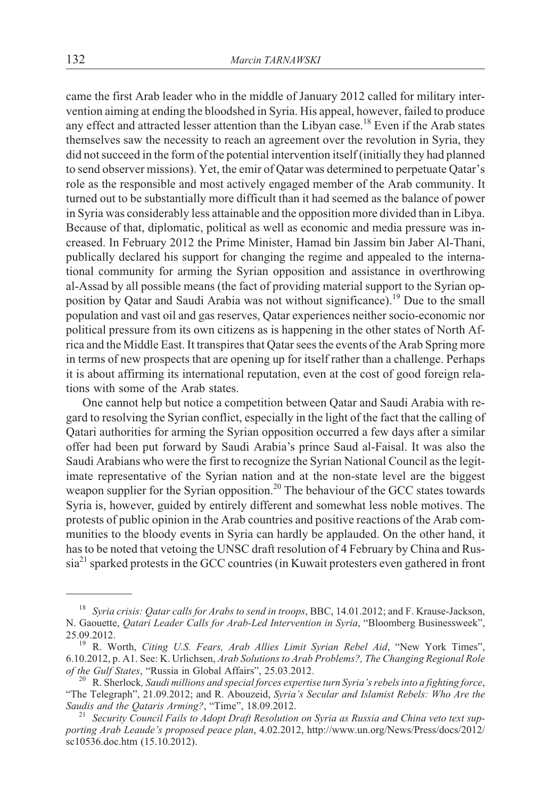came the first Arab leader who in the middle of January 2012 called for military intervention aiming at ending the bloodshed in Syria. His appeal, however, failed to produce any effect and attracted lesser attention than the Libyan case.<sup>18</sup> Even if the Arab states themselves saw the necessity to reach an agreement over the revolution in Syria, they did not succeed in the form of the potential intervention itself (initially they had planned to send observer missions). Yet, the emir of Qatar was determined to perpetuate Qatar's role as the responsible and most actively engaged member of the Arab community. It turned out to be substantially more difficult than it had seemed as the balance of power in Syria was considerably less attainable and the opposition more divided than in Libya. Because of that, diplomatic, political as well as economic and media pressure was increased. In February 2012 the Prime Minister, Hamad bin Jassim bin Jaber Al-Thani, publically declared his support for changing the regime and appealed to the international community for arming the Syrian opposition and assistance in overthrowing al-Assad by all possible means (the fact of providing material support to the Syrian opposition by Qatar and Saudi Arabia was not without significance).<sup>19</sup> Due to the small population and vast oil and gas reserves, Qatar experiences neither socio-economic nor political pressure from its own citizens as is happening in the other states of North Africa and the Middle East. It transpires that Qatar sees the events of the Arab Spring more in terms of new prospects that are opening up for itself rather than a challenge. Perhaps it is about affirming its international reputation, even at the cost of good foreign relations with some of the Arab states.

One cannot help but notice a competition between Qatar and Saudi Arabia with regard to resolving the Syrian conflict, especially in the light of the fact that the calling of Qatari authorities for arming the Syrian opposition occurred a few days after a similar offer had been put forward by Saudi Arabia's prince Saud al-Faisal. It was also the Saudi Arabians who were the first to recognize the Syrian National Council as the legitimate representative of the Syrian nation and at the non-state level are the biggest weapon supplier for the Syrian opposition.<sup>20</sup> The behaviour of the GCC states towards Syria is, however, guided by entirely different and somewhat less noble motives. The protests of public opinion in the Arab countries and positive reactions of the Arab communities to the bloody events in Syria can hardly be applauded. On the other hand, it has to be noted that vetoing the UNSC draft resolution of 4 February by China and Russia<sup>21</sup> sparked protests in the GCC countries (in Kuwait protesters even gathered in front

<sup>18</sup> *Syria crisis: Qatar calls for Arabs to send in troops*, BBC, 14.01.2012; and F. Krause-Jackson, N. Gaouette, *Qatari Leader Calls for Arab-Led Intervention in Syria*, "Bloomberg Businessweek",

<sup>&</sup>lt;sup>19</sup> R. Worth, *Citing U.S. Fears, Arab Allies Limit Syrian Rebel Aid*, "New York Times", 6.10.2012, p. A1. See: K. Urlichsen, *Arab Solutions to Arab Problems?, The Changing Regional Role*

<sup>&</sup>lt;sup>20</sup> R. Sherlock, Saudi millions and special forces expertise turn Syria's rebels into a fighting force, "The Telegraph", 21.09.2012; and R. Abouzeid, *Syria's Secular and Islamist Rebels: Who Are the Saudis and the Qataris Arming?*, "Time", 18.09.2012. <sup>21</sup> *Security Council Fails to Adopt Draft Resolution on Syria as Russia and China veto text sup-*

*porting Arab Leaude's proposed peace plan*, 4.02.2012, http://www.un.org/News/Press/docs/2012/ sc10536.doc.htm (15.10.2012).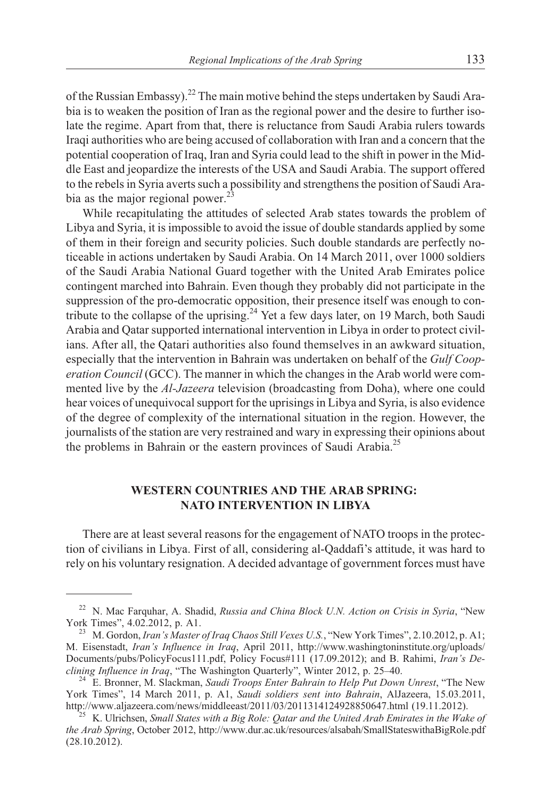of the Russian Embassy).<sup>22</sup> The main motive behind the steps undertaken by Saudi Arabia is to weaken the position of Iran as the regional power and the desire to further isolate the regime. Apart from that, there is reluctance from Saudi Arabia rulers towards Iraqi authorities who are being accused of collaboration with Iran and a concern that the potential cooperation of Iraq, Iran and Syria could lead to the shift in power in the Middle East and jeopardize the interests of the USA and Saudi Arabia. The support offered to the rebels in Syria averts such a possibility and strengthens the position of Saudi Arabia as the major regional power. $^{23}$ 

While recapitulating the attitudes of selected Arab states towards the problem of Libya and Syria, it is impossible to avoid the issue of double standards applied by some of them in their foreign and security policies. Such double standards are perfectly noticeable in actions undertaken by Saudi Arabia. On 14 March 2011, over 1000 soldiers of the Saudi Arabia National Guard together with the United Arab Emirates police contingent marched into Bahrain. Even though they probably did not participate in the suppression of the pro-democratic opposition, their presence itself was enough to contribute to the collapse of the uprising.<sup>24</sup> Yet a few days later, on 19 March, both Saudi Arabia and Qatar supported international intervention in Libya in order to protect civilians. After all, the Qatari authorities also found themselves in an awkward situation, especially that the intervention in Bahrain was undertaken on behalf of the *Gulf Cooperation Council* (GCC). The manner in which the changes in the Arab world were commented live by the *Al-Jazeera* television (broadcasting from Doha), where one could hear voices of unequivocal support for the uprisings in Libya and Syria, is also evidence of the degree of complexity of the international situation in the region. However, the journalists of the station are very restrained and wary in expressing their opinions about the problems in Bahrain or the eastern provinces of Saudi Arabia.<sup>25</sup>

### **WESTERN COUNTRIES AND THE ARAB SPRING: NATO INTERVENTION IN LIBYA**

There are at least several reasons for the engagement of NATO troops in the protection of civilians in Libya. First of all, considering al-Qaddafi's attitude, it was hard to rely on his voluntary resignation. A decided advantage of government forces must have

<sup>&</sup>lt;sup>22</sup> N. Mac Farquhar, A. Shadid, *Russia and China Block U.N. Action on Crisis in Syria*, "New York Times", 4.02.2012, p. A1.

<sup>&</sup>lt;sup>23</sup> M. Gordon, *Iran's Master of Iraq Chaos Still Vexes U.S.*, "New York Times", 2.10.2012, p. A1; M. Eisenstadt, *Iran's Influence in Iraq*, April 2011, http://www.washingtoninstitute.org/uploads/ Documents/pubs/PolicyFocus111.pdf, Policy Focus#111 (17.09.2012); and B. Rahimi, *Iran's Declining Influence in Iraq*, "The Washington Quarterly", Winter 2012, p. 25–40. <sup>24</sup> E. Bronner, M. Slackman, *Saudi Troops Enter Bahrain to Help Put Down Unrest*, "The New

York Times", 14 March 2011, p. A1, *Saudi soldiers sent into Bahrain*, AlJazeera, 15.03.2011, http://www.aljazeera.com/news/middleeast/2011/03/2011314124928850647.html (19.11.2012).

<sup>&</sup>lt;sup>25</sup> K. Ulrichsen, *Small States with a Big Role: Qatar and the United Arab Emirates in the Wake of the Arab Spring*, October 2012, http://www.dur.ac.uk/resources/alsabah/SmallStateswithaBigRole.pdf (28.10.2012).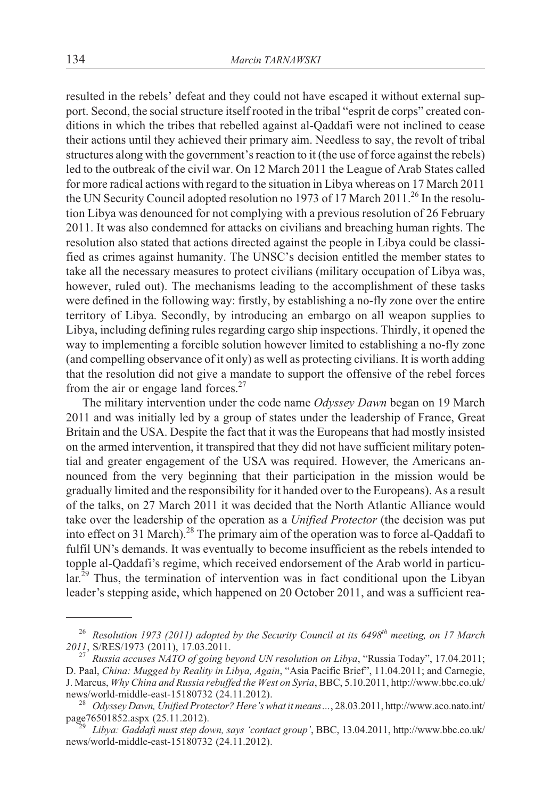resulted in the rebels' defeat and they could not have escaped it without external support. Second, the social structure itself rooted in the tribal "esprit de corps" created conditions in which the tribes that rebelled against al-Qaddafi were not inclined to cease their actions until they achieved their primary aim. Needless to say, the revolt of tribal structures along with the government's reaction to it (the use of force against the rebels) led to the outbreak of the civil war. On 12 March 2011 the League of Arab States called for more radical actions with regard to the situation in Libya whereas on 17 March 2011 the UN Security Council adopted resolution no 1973 of 17 March 2011.<sup>26</sup> In the resolution Libya was denounced for not complying with a previous resolution of 26 February 2011. It was also condemned for attacks on civilians and breaching human rights. The resolution also stated that actions directed against the people in Libya could be classified as crimes against humanity. The UNSC's decision entitled the member states to take all the necessary measures to protect civilians (military occupation of Libya was, however, ruled out). The mechanisms leading to the accomplishment of these tasks were defined in the following way: firstly, by establishing a no-fly zone over the entire territory of Libya. Secondly, by introducing an embargo on all weapon supplies to Libya, including defining rules regarding cargo ship inspections. Thirdly, it opened the way to implementing a forcible solution however limited to establishing a no-fly zone (and compelling observance of it only) as well as protecting civilians. It is worth adding that the resolution did not give a mandate to support the offensive of the rebel forces from the air or engage land forces. $27$ 

The military intervention under the code name *Odyssey Dawn* began on 19 March 2011 and was initially led by a group of states under the leadership of France, Great Britain and the USA. Despite the fact that it was the Europeans that had mostly insisted on the armed intervention, it transpired that they did not have sufficient military potential and greater engagement of the USA was required. However, the Americans announced from the very beginning that their participation in the mission would be gradually limited and the responsibility for it handed over to the Europeans). As a result of the talks, on 27 March 2011 it was decided that the North Atlantic Alliance would take over the leadership of the operation as a *Unified Protector* (the decision was put into effect on 31 March).<sup>28</sup> The primary aim of the operation was to force al-Qaddafi to fulfil UN's demands. It was eventually to become insufficient as the rebels intended to topple al-Qaddafi's regime, which received endorsement of the Arab world in particu- $\ar{1}^{29}$  Thus, the termination of intervention was in fact conditional upon the Libyan leader's stepping aside, which happened on 20 October 2011, and was a sufficient rea-

<sup>&</sup>lt;sup>26</sup> *Resolution 1973 (2011) adopted by the Security Council at its 6498<sup>th</sup> meeting, on 17 March <sup>2011</sup>*, S/RES/1973 (2011), 17.03.2011. <sup>27</sup> *Russia accuses NATO of going beyond UN resolution on Libya*, "Russia Today", 17.04.2011;

D. Paal, *China: Mugged by Reality in Libya, Again*, "Asia Pacific Brief", 11.04.2011; and Carnegie, J. Marcus, *Why China and Russia rebuffed the West on Syria*, BBC, 5.10.2011, http://www.bbc.co.uk/

news/world-middle-east-15180732 (24.11.2012).<br><sup>28</sup> *Odyssey Dawn, Unified Protector? Here's what it means* ..., 28.03.2011, http://www.aco.nato.int/<br>page76501852.aspx (25.11.2012).

Libya: Gaddafi must step down, says 'contact group', BBC, 13.04.2011, http://www.bbc.co.uk/ news/world-middle-east-15180732 (24.11.2012).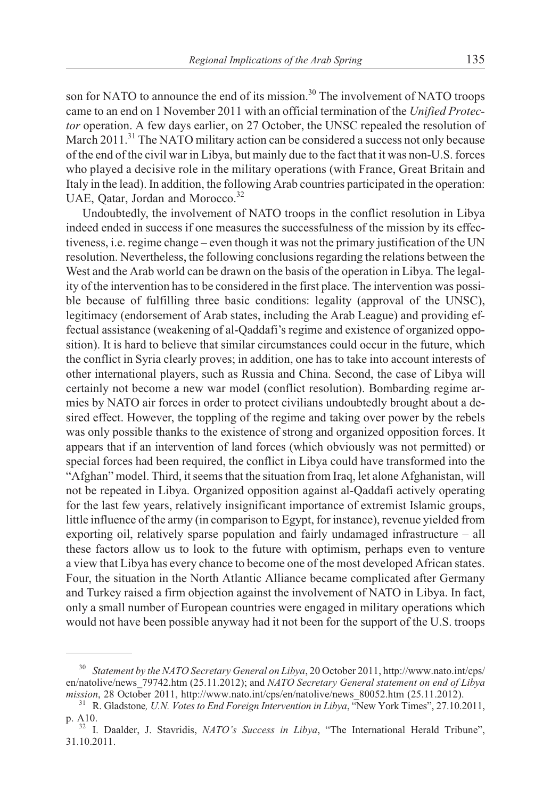son for NATO to announce the end of its mission.<sup>30</sup> The involvement of NATO troops came to an end on 1 November 2011 with an official termination of the *Unified Protector* operation. A few days earlier, on 27 October, the UNSC repealed the resolution of March 2011.<sup>31</sup> The NATO military action can be considered a success not only because of the end of the civil war in Libya, but mainly due to the fact that it was non-U.S. forces who played a decisive role in the military operations (with France, Great Britain and Italy in the lead). In addition, the following Arab countries participated in the operation: UAE, Qatar, Jordan and Morocco.<sup>32</sup>

Undoubtedly, the involvement of NATO troops in the conflict resolution in Libya indeed ended in success if one measures the successfulness of the mission by its effectiveness, i.e. regime change – even though it was not the primary justification of the UN resolution. Nevertheless, the following conclusions regarding the relations between the West and the Arab world can be drawn on the basis of the operation in Libya. The legality of the intervention has to be considered in the first place. The intervention was possible because of fulfilling three basic conditions: legality (approval of the UNSC), legitimacy (endorsement of Arab states, including the Arab League) and providing effectual assistance (weakening of al-Qaddafi's regime and existence of organized opposition). It is hard to believe that similar circumstances could occur in the future, which the conflict in Syria clearly proves; in addition, one has to take into account interests of other international players, such as Russia and China. Second, the case of Libya will certainly not become a new war model (conflict resolution). Bombarding regime armies by NATO air forces in order to protect civilians undoubtedly brought about a desired effect. However, the toppling of the regime and taking over power by the rebels was only possible thanks to the existence of strong and organized opposition forces. It appears that if an intervention of land forces (which obviously was not permitted) or special forces had been required, the conflict in Libya could have transformed into the "Afghan" model. Third, it seems that the situation from Iraq, let alone Afghanistan, will not be repeated in Libya. Organized opposition against al-Qaddafi actively operating for the last few years, relatively insignificant importance of extremist Islamic groups, little influence of the army (in comparison to Egypt, for instance), revenue yielded from exporting oil, relatively sparse population and fairly undamaged infrastructure – all these factors allow us to look to the future with optimism, perhaps even to venture a view that Libya has every chance to become one of the most developed African states. Four, the situation in the North Atlantic Alliance became complicated after Germany and Turkey raised a firm objection against the involvement of NATO in Libya. In fact, only a small number of European countries were engaged in military operations which would not have been possible anyway had it not been for the support of the U.S. troops

<sup>30</sup> *Statement by the NATO Secretary General on Libya*, 20 October 2011, http://www.nato.int/cps/ en/natolive/news\_79742.htm (25.11.2012); and *NATO Secretary General statement on end of Libya* mission, 28 October 2011, http://www.nato.int/cps/en/natolive/news\_80052.htm (25.11.2012).

<sup>&</sup>lt;sup>31</sup> R. Gladstone, *U.N. Votes to End Foreign Intervention in Libya*, "New York Times", 27.10.2011, p. A10. <sup>32</sup> I. Daalder, J. Stavridis, *NATO's Success in Libya*, "The International Herald Tribune",

<sup>31.10.2011.</sup>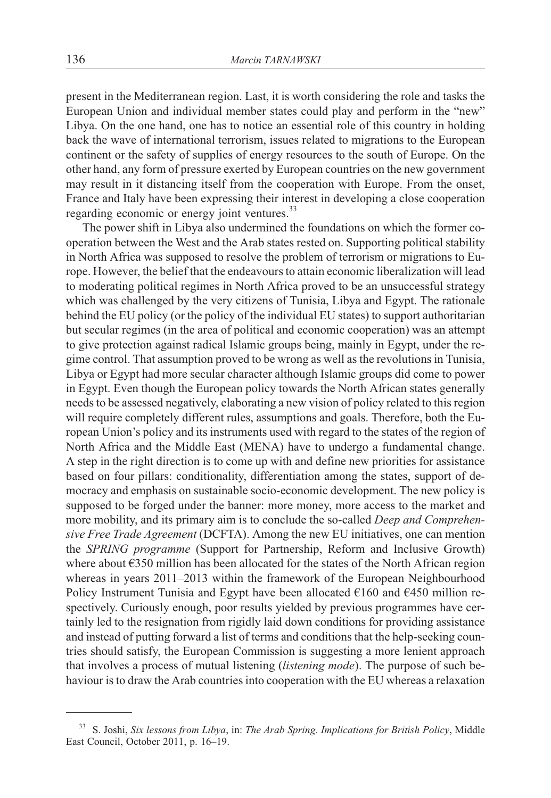present in the Mediterranean region. Last, it is worth considering the role and tasks the European Union and individual member states could play and perform in the "new" Libya. On the one hand, one has to notice an essential role of this country in holding back the wave of international terrorism, issues related to migrations to the European continent or the safety of supplies of energy resources to the south of Europe. On the other hand, any form of pressure exerted by European countries on the new government may result in it distancing itself from the cooperation with Europe. From the onset, France and Italy have been expressing their interest in developing a close cooperation regarding economic or energy joint ventures.<sup>33</sup>

The power shift in Libya also undermined the foundations on which the former cooperation between the West and the Arab states rested on. Supporting political stability in North Africa was supposed to resolve the problem of terrorism or migrations to Europe. However, the belief that the endeavours to attain economic liberalization will lead to moderating political regimes in North Africa proved to be an unsuccessful strategy which was challenged by the very citizens of Tunisia, Libya and Egypt. The rationale behind the EU policy (or the policy of the individual EU states) to support authoritarian but secular regimes (in the area of political and economic cooperation) was an attempt to give protection against radical Islamic groups being, mainly in Egypt, under the regime control. That assumption proved to be wrong as well as the revolutions in Tunisia, Libya or Egypt had more secular character although Islamic groups did come to power in Egypt. Even though the European policy towards the North African states generally needs to be assessed negatively, elaborating a new vision of policy related to this region will require completely different rules, assumptions and goals. Therefore, both the European Union's policy and its instruments used with regard to the states of the region of North Africa and the Middle East (MENA) have to undergo a fundamental change. A step in the right direction is to come up with and define new priorities for assistance based on four pillars: conditionality, differentiation among the states, support of democracy and emphasis on sustainable socio-economic development. The new policy is supposed to be forged under the banner: more money, more access to the market and more mobility, and its primary aim is to conclude the so-called *Deep and Comprehensive Free Trade Agreement* (DCFTA). Among the new EU initiatives, one can mention the *SPRING programme* (Support for Partnership, Reform and Inclusive Growth) where about  $\epsilon$ 350 million has been allocated for the states of the North African region whereas in years 2011–2013 within the framework of the European Neighbourhood Policy Instrument Tunisia and Egypt have been allocated  $\epsilon$ 160 and  $\epsilon$ 450 million respectively. Curiously enough, poor results yielded by previous programmes have certainly led to the resignation from rigidly laid down conditions for providing assistance and instead of putting forward a list of terms and conditions that the help-seeking countries should satisfy, the European Commission is suggesting a more lenient approach that involves a process of mutual listening (*listening mode*). The purpose of such behaviour is to draw the Arab countries into cooperation with the EU whereas a relaxation

<sup>33</sup> S. Joshi, *Six lessons from Libya*, in: *The Arab Spring. Implications for British Policy*, Middle East Council, October 2011, p. 16–19.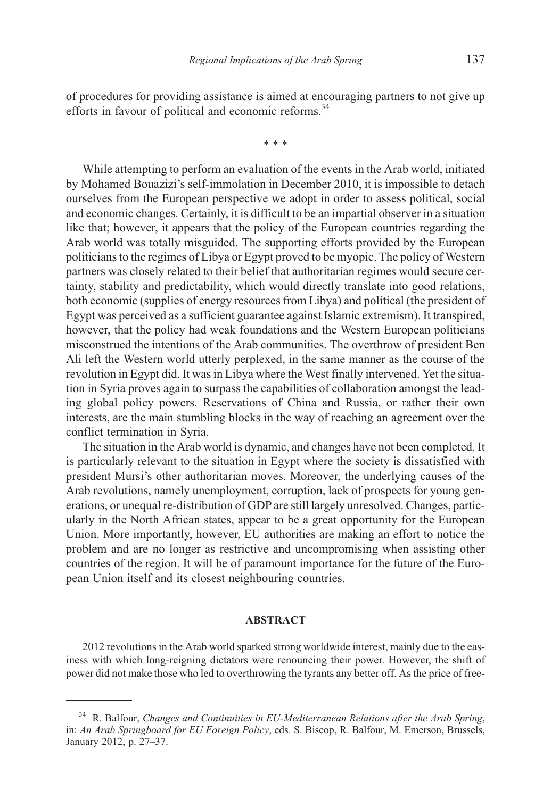of procedures for providing assistance is aimed at encouraging partners to not give up efforts in favour of political and economic reforms.<sup>34</sup>

\*\*\*

While attempting to perform an evaluation of the events in the Arab world, initiated by Mohamed Bouazizi's self-immolation in December 2010, it is impossible to detach ourselves from the European perspective we adopt in order to assess political, social and economic changes. Certainly, it is difficult to be an impartial observer in a situation like that; however, it appears that the policy of the European countries regarding the Arab world was totally misguided. The supporting efforts provided by the European politicians to the regimes of Libya or Egypt proved to be myopic. The policy of Western partners was closely related to their belief that authoritarian regimes would secure certainty, stability and predictability, which would directly translate into good relations, both economic (supplies of energy resources from Libya) and political (the president of Egypt was perceived as a sufficient guarantee against Islamic extremism). It transpired, however, that the policy had weak foundations and the Western European politicians misconstrued the intentions of the Arab communities. The overthrow of president Ben Ali left the Western world utterly perplexed, in the same manner as the course of the revolution in Egypt did. It was in Libya where the West finally intervened. Yet the situation in Syria proves again to surpass the capabilities of collaboration amongst the leading global policy powers. Reservations of China and Russia, or rather their own interests, are the main stumbling blocks in the way of reaching an agreement over the conflict termination in Syria.

The situation in the Arab world is dynamic, and changes have not been completed. It is particularly relevant to the situation in Egypt where the society is dissatisfied with president Mursi's other authoritarian moves. Moreover, the underlying causes of the Arab revolutions, namely unemployment, corruption, lack of prospects for young generations, or unequal re-distribution of GDP are still largely unresolved. Changes, particularly in the North African states, appear to be a great opportunity for the European Union. More importantly, however, EU authorities are making an effort to notice the problem and are no longer as restrictive and uncompromising when assisting other countries of the region. It will be of paramount importance for the future of the European Union itself and its closest neighbouring countries.

#### **ABSTRACT**

2012 revolutions in the Arab world sparked strong worldwide interest, mainly due to the easiness with which long-reigning dictators were renouncing their power. However, the shift of power did not make those who led to overthrowing the tyrants any better off. As the price of free-

<sup>34</sup> R. Balfour, *Changes and Continuities in EU-Mediterranean Relations after the Arab Spring*, in: *An Arab Springboard for EU Foreign Policy*, eds. S. Biscop, R. Balfour, M. Emerson, Brussels, January 2012, p. 27–37.